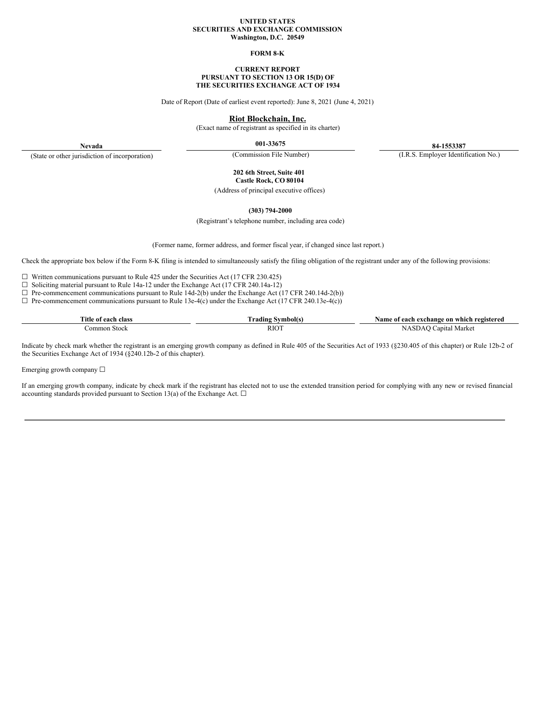#### **UNITED STATES SECURITIES AND EXCHANGE COMMISSION Washington, D.C. 20549**

#### **FORM 8-K**

#### **CURRENT REPORT PURSUANT TO SECTION 13 OR 15(D) OF THE SECURITIES EXCHANGE ACT OF 1934**

Date of Report (Date of earliest event reported): June 8, 2021 (June 4, 2021)

### **Riot Blockchain, Inc.**

(Exact name of registrant as specified in its charter)

**001-33675 84-1553387**

**Nevada** (State or other jurisdiction of incorporation)

(Commission File Number) (I.R.S. Employer Identification No.)

**202 6th Street, Suite 401 Castle Rock, CO 80104**

(Address of principal executive offices)

**(303) 794-2000**

(Registrant's telephone number, including area code)

(Former name, former address, and former fiscal year, if changed since last report.)

Check the appropriate box below if the Form 8-K filing is intended to simultaneously satisfy the filing obligation of the registrant under any of the following provisions:

☐ Written communications pursuant to Rule 425 under the Securities Act (17 CFR 230.425)

☐ Soliciting material pursuant to Rule 14a-12 under the Exchange Act (17 CFR 240.14a-12)

☐ Pre-commencement communications pursuant to Rule 14d-2(b) under the Exchange Act (17 CFR 240.14d-2(b))

 $\Box$  Pre-commencement communications pursuant to Rule 13e-4(c) under the Exchange Act (17 CFR 240.13e-4(c))

| rane.<br>. itle<br>. each<br>class<br>-01 | . adıng     | registereo<br>vam<br>- on<br>exchange<br>which<br>each<br>: 01 |
|-------------------------------------------|-------------|----------------------------------------------------------------|
| Stock<br>mor                              | <b>RIOT</b> | Marke<br>anita<br>$\sim$                                       |

Indicate by check mark whether the registrant is an emerging growth company as defined in Rule 405 of the Securities Act of 1933 (§230.405 of this chapter) or Rule 12b-2 of the Securities Exchange Act of 1934 (§240.12b-2 of this chapter).

Emerging growth company  $\Box$ 

If an emerging growth company, indicate by check mark if the registrant has elected not to use the extended transition period for complying with any new or revised financial accounting standards provided pursuant to Section 13(a) of the Exchange Act.  $\square$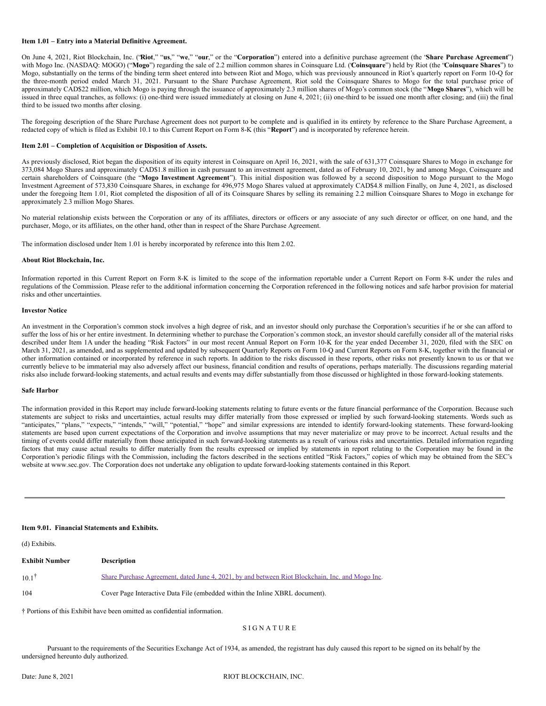### **Item 1.01 – Entry into a Material Definitive Agreement.**

On June 4, 2021, Riot Blockchain, Inc. ("**Riot**," "**us**," "**we**," "**our**," or the "**Corporation**") entered into a definitive purchase agreement (the "**Share Purchase Agreement**") with Mogo Inc. (NASDAQ: MOGO) ("**Mogo**") regarding the sale of 2.2 million common shares in Coinsquare Ltd. ("**Coinsquare**") held by Riot (the "**Coinsquare Shares**") to Mogo, substantially on the terms of the binding term sheet entered into between Riot and Mogo, which was previously announced in Riot's quarterly report on Form 10-Q for the three-month period ended March 31, 2021. Pursuant to the Share Purchase Agreement, Riot sold the Coinsquare Shares to Mogo for the total purchase price of approximately CAD\$22 million, which Mogo is paying through the issuance of approximately 2.3 million shares of Mogo's common stock (the "**Mogo Shares**"), which will be issued in three equal tranches, as follows: (i) one-third were issued immediately at closing on June 4, 2021; (ii) one-third to be issued one month after closing; and (iii) the final third to be issued two months after closing.

The foregoing description of the Share Purchase Agreement does not purport to be complete and is qualified in its entirety by reference to the Share Purchase Agreement, a redacted copy of which is filed as Exhibit 10.1 to this Current Report on Form 8-K (this "**Report**") and is incorporated by reference herein.

#### **Item 2.01 – Completion of Acquisition or Disposition of Assets.**

As previously disclosed, Riot began the disposition of its equity interest in Coinsquare on April 16, 2021, with the sale of 631,377 Coinsquare Shares to Mogo in exchange for 373,084 Mogo Shares and approximately CAD\$1.8 million in cash pursuant to an investment agreement, dated as of February 10, 2021, by and among Mogo, Coinsquare and certain shareholders of Coinsquare (the "**Mogo Investment Agreement**"). This initial disposition was followed by a second disposition to Mogo pursuant to the Mogo Investment Agreement of 573,830 Coinsquare Shares, in exchange for 496,975 Mogo Shares valued at approximately CAD\$4.8 million Finally, on June 4, 2021, as disclosed under the foregoing Item 1.01, Riot completed the disposition of all of its Coinsquare Shares by selling its remaining 2.2 million Coinsquare Shares to Mogo in exchange for approximately 2.3 million Mogo Shares.

No material relationship exists between the Corporation or any of its affiliates, directors or officers or any associate of any such director or officer, on one hand, and the purchaser, Mogo, or its affiliates, on the other hand, other than in respect of the Share Purchase Agreement.

The information disclosed under Item 1.01 is hereby incorporated by reference into this Item 2.02.

#### **About Riot Blockchain, Inc.**

Information reported in this Current Report on Form 8-K is limited to the scope of the information reportable under a Current Report on Form 8-K under the rules and regulations of the Commission. Please refer to the additional information concerning the Corporation referenced in the following notices and safe harbor provision for material risks and other uncertainties.

#### **Investor Notice**

An investment in the Corporation's common stock involves a high degree of risk, and an investor should only purchase the Corporation's securities if he or she can afford to suffer the loss of his or her entire investment. In determining whether to purchase the Corporation's common stock, an investor should carefully consider all of the material risks described under Item 1A under the heading "Risk Factors" in our most recent Annual Report on Form 10-K for the year ended December 31, 2020, filed with the SEC on March 31, 2021, as amended, and as supplemented and updated by subsequent Quarterly Reports on Form 10-Q and Current Reports on Form 8-K, together with the financial or other information contained or incorporated by reference in such reports. In addition to the risks discussed in these reports, other risks not presently known to us or that we currently believe to be immaterial may also adversely affect our business, financial condition and results of operations, perhaps materially. The discussions regarding material risks also include forward-looking statements, and actual results and events may differ substantially from those discussed or highlighted in those forward-looking statements.

#### **Safe Harbor**

The information provided in this Report may include forward-looking statements relating to future events or the future financial performance of the Corporation. Because such statements are subject to risks and uncertainties, actual results may differ materially from those expressed or implied by such forward-looking statements. Words such as "anticipates," "plans," "expects," "intends," "will," "potential," "hope" and similar expressions are intended to identify forward-looking statements. These forward-looking statements are based upon current expectations of the Corporation and involve assumptions that may never materialize or may prove to be incorrect. Actual results and the timing of events could differ materially from those anticipated in such forward-looking statements as a result of various risks and uncertainties. Detailed information regarding factors that may cause actual results to differ materially from the results expressed or implied by statements in report relating to the Corporation may be found in the Corporation's periodic filings with the Commission, including the factors described in the sections entitled "Risk Factors," copies of which may be obtained from the SEC's website at www.sec.gov. The Corporation does not undertake any obligation to update forward-looking statements contained in this Report.

### **Item 9.01. Financial Statements and Exhibits.**

(d) Exhibits.

| <b>Exhibit Number</b> | <b>Description</b>                                                                               |
|-----------------------|--------------------------------------------------------------------------------------------------|
| $10^{-11}$            | Share Purchase Agreement, dated June 4, 2021, by and between Riot Blockchain, Inc. and Mogo Inc. |
| 104                   | Cover Page Interactive Data File (embedded within the Inline XBRL document).                     |

† Portions of this Exhibit have been omitted as confidential information.

#### S I G N A T U R E

Pursuant to the requirements of the Securities Exchange Act of 1934, as amended, the registrant has duly caused this report to be signed on its behalf by the undersigned hereunto duly authorized.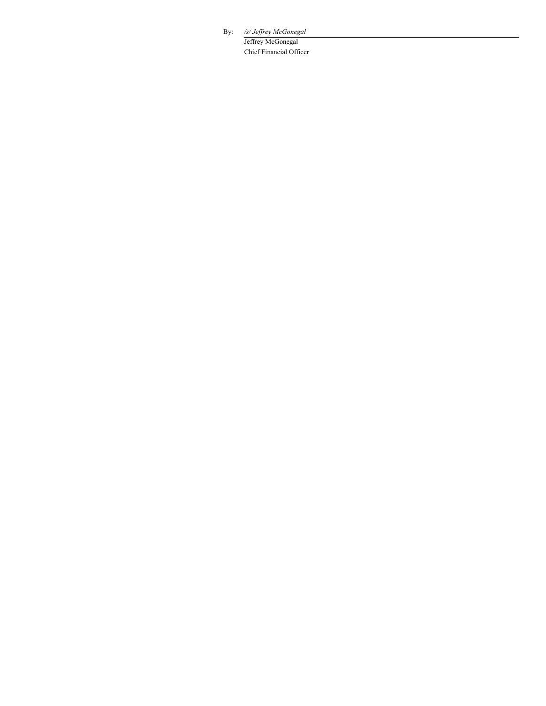By: */s/ Jef rey McGonegal*

Jeffrey McGonegal Chief Financial Officer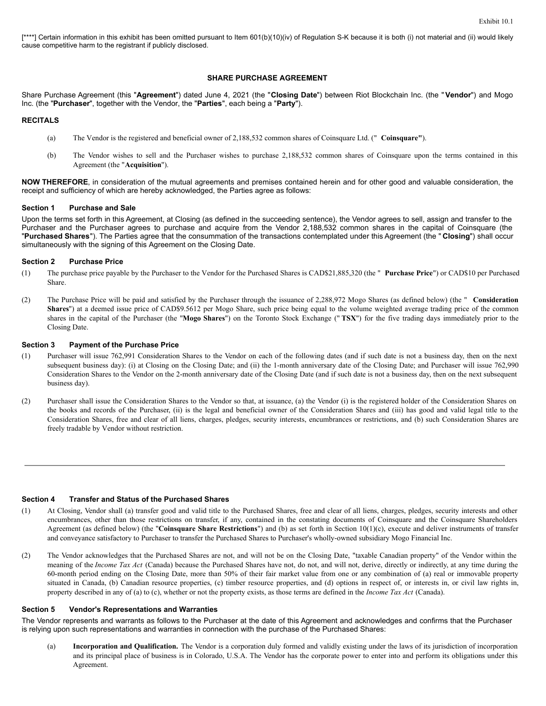[\*\*\*\*] Certain information in this exhibit has been omitted pursuant to Item 601(b)(10)(iv) of Regulation S-K because it is both (i) not material and (ii) would likely cause competitive harm to the registrant if publicly disclosed.

### **SHARE PURCHASE AGREEMENT**

Share Purchase Agreement (this "**Agreement**") dated June 4, 2021 (the "**Closing Date**") between Riot Blockchain Inc. (the "**Vendor**") and Mogo Inc. (the "**Purchaser**", together with the Vendor, the "**Parties**", each being a "**Party**").

### **RECITALS**

- (a) The Vendor is the registered and beneficial owner of 2,188,532 common shares of Coinsquare Ltd. (" **Coinsquare"**).
- (b) The Vendor wishes to sell and the Purchaser wishes to purchase 2,188,532 common shares of Coinsquare upon the terms contained in this Agreement (the "**Acquisition**").

**NOW THEREFORE**, in consideration of the mutual agreements and premises contained herein and for other good and valuable consideration, the receipt and sufficiency of which are hereby acknowledged, the Parties agree as follows:

### **Section 1 Purchase and Sale**

Upon the terms set forth in this Agreement, at Closing (as defined in the succeeding sentence), the Vendor agrees to sell, assign and transfer to the Purchaser and the Purchaser agrees to purchase and acquire from the Vendor 2,188,532 common shares in the capital of Coinsquare (the "**Purchased Shares**"). The Parties agree that the consummation of the transactions contemplated under this Agreement (the " **Closing**") shall occur simultaneously with the signing of this Agreement on the Closing Date.

### **Section 2 Purchase Price**

- (1) The purchase price payable by the Purchaser to the Vendor for the Purchased Shares is CAD\$21,885,320 (the " **Purchase Price**") or CAD\$10 per Purchased Share.
- (2) The Purchase Price will be paid and satisfied by the Purchaser through the issuance of 2,288,972 Mogo Shares (as defined below) (the " **Consideration Shares**") at a deemed issue price of CAD\$9.5612 per Mogo Share, such price being equal to the volume weighted average trading price of the common shares in the capital of the Purchaser (the "**Mogo Shares**") on the Toronto Stock Exchange (" **TSX**") for the five trading days immediately prior to the Closing Date.

### **Section 3 Payment of the Purchase Price**

- (1) Purchaser will issue 762,991 Consideration Shares to the Vendor on each of the following dates (and if such date is not a business day, then on the next subsequent business day): (i) at Closing on the Closing Date; and (ii) the 1-month anniversary date of the Closing Date; and Purchaser will issue 762,990 Consideration Shares to the Vendor on the 2-month anniversary date of the Closing Date (and if such date is not a business day, then on the next subsequent business day).
- (2) Purchaser shall issue the Consideration Shares to the Vendor so that, at issuance, (a) the Vendor (i) is the registered holder of the Consideration Shares on the books and records of the Purchaser, (ii) is the legal and beneficial owner of the Consideration Shares and (iii) has good and valid legal title to the Consideration Shares, free and clear of all liens, charges, pledges, security interests, encumbrances or restrictions, and (b) such Consideration Shares are freely tradable by Vendor without restriction.

### **Section 4 Transfer and Status of the Purchased Shares**

- (1) At Closing, Vendor shall (a) transfer good and valid title to the Purchased Shares, free and clear of all liens, charges, pledges, security interests and other encumbrances, other than those restrictions on transfer, if any, contained in the constating documents of Coinsquare and the Coinsquare Shareholders Agreement (as defined below) (the "**Coinsquare Share Restrictions**") and (b) as set forth in Section 10(1)(c), execute and deliver instruments of transfer and conveyance satisfactory to Purchaser to transfer the Purchased Shares to Purchaser's wholly-owned subsidiary Mogo Financial Inc.
- (2) The Vendor acknowledges that the Purchased Shares are not, and will not be on the Closing Date, "taxable Canadian property" of the Vendor within the meaning of the *Income Tax Act* (Canada) because the Purchased Shares have not, do not, and will not, derive, directly or indirectly, at any time during the 60-month period ending on the Closing Date, more than 50% of their fair market value from one or any combination of (a) real or immovable property situated in Canada, (b) Canadian resource properties, (c) timber resource properties, and (d) options in respect of, or interests in, or civil law rights in, property described in any of (a) to (c), whether or not the property exists, as those terms are defined in the *Income Tax Act* (Canada).

### **Section 5 Vendor's Representations and Warranties**

The Vendor represents and warrants as follows to the Purchaser at the date of this Agreement and acknowledges and confirms that the Purchaser is relying upon such representations and warranties in connection with the purchase of the Purchased Shares:

(a) **Incorporation and Qualification.** The Vendor is a corporation duly formed and validly existing under the laws of its jurisdiction of incorporation and its principal place of business is in Colorado, U.S.A. The Vendor has the corporate power to enter into and perform its obligations under this Agreement.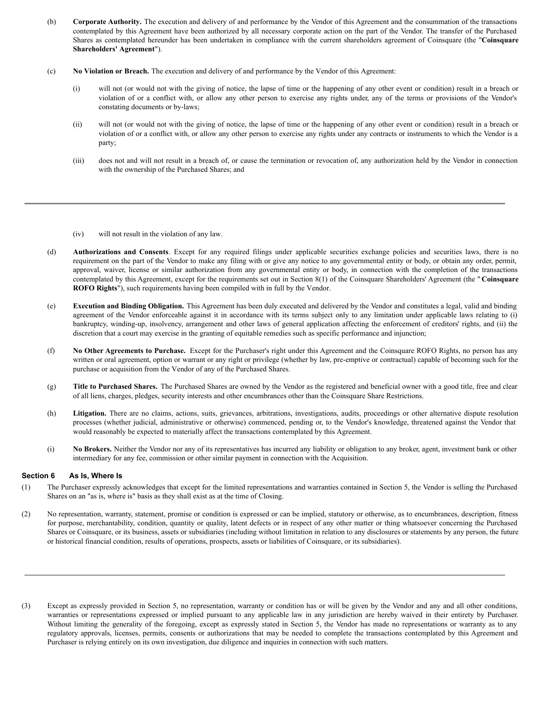- (b) **Corporate Authority.** The execution and delivery of and performance by the Vendor of this Agreement and the consummation of the transactions contemplated by this Agreement have been authorized by all necessary corporate action on the part of the Vendor. The transfer of the Purchased Shares as contemplated hereunder has been undertaken in compliance with the current shareholders agreement of Coinsquare (the "**Coinsquare Shareholders' Agreement**").
- (c) **No Violation or Breach.** The execution and delivery of and performance by the Vendor of this Agreement:
	- (i) will not (or would not with the giving of notice, the lapse of time or the happening of any other event or condition) result in a breach or violation of or a conflict with, or allow any other person to exercise any rights under, any of the terms or provisions of the Vendor's constating documents or by-laws;
	- (ii) will not (or would not with the giving of notice, the lapse of time or the happening of any other event or condition) result in a breach or violation of or a conflict with, or allow any other person to exercise any rights under any contracts or instruments to which the Vendor is a party;
	- (iii) does not and will not result in a breach of, or cause the termination or revocation of, any authorization held by the Vendor in connection with the ownership of the Purchased Shares; and

(iv) will not result in the violation of any law.

- (d) **Authorizations and Consents**. Except for any required filings under applicable securities exchange policies and securities laws, there is no requirement on the part of the Vendor to make any filing with or give any notice to any governmental entity or body, or obtain any order, permit, approval, waiver, license or similar authorization from any governmental entity or body, in connection with the completion of the transactions contemplated by this Agreement, except for the requirements set out in Section 8(1) of the Coinsquare Shareholders' Agreement (the " **Coinsquare ROFO Rights**"), such requirements having been compiled with in full by the Vendor.
- (e) **Execution and Binding Obligation.** This Agreement has been duly executed and delivered by the Vendor and constitutes a legal, valid and binding agreement of the Vendor enforceable against it in accordance with its terms subject only to any limitation under applicable laws relating to (i) bankruptcy, winding-up, insolvency, arrangement and other laws of general application affecting the enforcement of creditors' rights, and (ii) the discretion that a court may exercise in the granting of equitable remedies such as specific performance and injunction;
- (f) **No Other Agreements to Purchase.** Except for the Purchaser's right under this Agreement and the Coinsquare ROFO Rights, no person has any written or oral agreement, option or warrant or any right or privilege (whether by law, pre-emptive or contractual) capable of becoming such for the purchase or acquisition from the Vendor of any of the Purchased Shares.
- (g) **Title to Purchased Shares.** The Purchased Shares are owned by the Vendor as the registered and beneficial owner with a good title, free and clear of all liens, charges, pledges, security interests and other encumbrances other than the Coinsquare Share Restrictions.
- (h) **Litigation.** There are no claims, actions, suits, grievances, arbitrations, investigations, audits, proceedings or other alternative dispute resolution processes (whether judicial, administrative or otherwise) commenced, pending or, to the Vendor's knowledge, threatened against the Vendor that would reasonably be expected to materially affect the transactions contemplated by this Agreement.
- (i) **No Brokers.** Neither the Vendor nor any of its representatives has incurred any liability or obligation to any broker, agent, investment bank or other intermediary for any fee, commission or other similar payment in connection with the Acquisition.

# **Section 6 As Is, Where Is**

- (1) The Purchaser expressly acknowledges that except for the limited representations and warranties contained in Section 5, the Vendor is selling the Purchased Shares on an "as is, where is" basis as they shall exist as at the time of Closing.
- (2) No representation, warranty, statement, promise or condition is expressed or can be implied, statutory or otherwise, as to encumbrances, description, fitness for purpose, merchantability, condition, quantity or quality, latent defects or in respect of any other matter or thing whatsoever concerning the Purchased Shares or Coinsquare, or its business, assets or subsidiaries (including without limitation in relation to any disclosures or statements by any person, the future or historical financial condition, results of operations, prospects, assets or liabilities of Coinsquare, or its subsidiaries).
- (3) Except as expressly provided in Section 5, no representation, warranty or condition has or will be given by the Vendor and any and all other conditions, warranties or representations expressed or implied pursuant to any applicable law in any jurisdiction are hereby waived in their entirety by Purchaser. Without limiting the generality of the foregoing, except as expressly stated in Section 5, the Vendor has made no representations or warranty as to any regulatory approvals, licenses, permits, consents or authorizations that may be needed to complete the transactions contemplated by this Agreement and Purchaser is relying entirely on its own investigation, due diligence and inquiries in connection with such matters.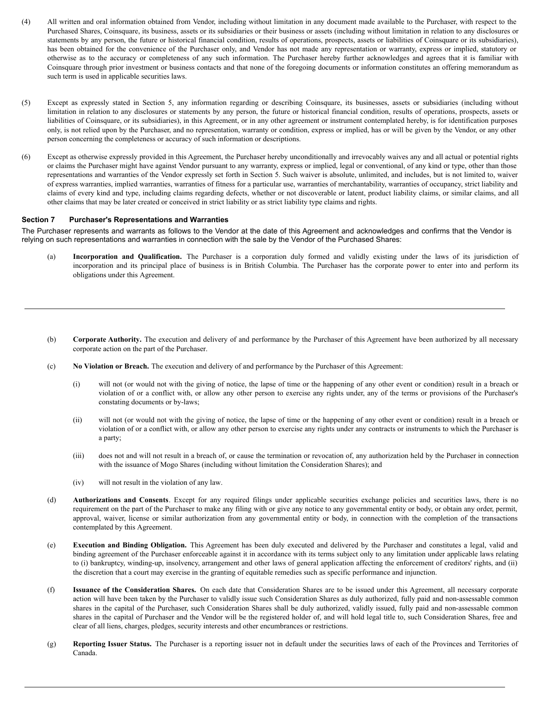- (4) All written and oral information obtained from Vendor, including without limitation in any document made available to the Purchaser, with respect to the Purchased Shares, Coinsquare, its business, assets or its subsidiaries or their business or assets (including without limitation in relation to any disclosures or statements by any person, the future or historical financial condition, results of operations, prospects, assets or liabilities of Coinsquare or its subsidiaries), has been obtained for the convenience of the Purchaser only, and Vendor has not made any representation or warranty, express or implied, statutory or otherwise as to the accuracy or completeness of any such information. The Purchaser hereby further acknowledges and agrees that it is familiar with Coinsquare through prior investment or business contacts and that none of the foregoing documents or information constitutes an offering memorandum as such term is used in applicable securities laws.
- (5) Except as expressly stated in Section 5, any information regarding or describing Coinsquare, its businesses, assets or subsidiaries (including without limitation in relation to any disclosures or statements by any person, the future or historical financial condition, results of operations, prospects, assets or liabilities of Coinsquare, or its subsidiaries), in this Agreement, or in any other agreement or instrument contemplated hereby, is for identification purposes only, is not relied upon by the Purchaser, and no representation, warranty or condition, express or implied, has or will be given by the Vendor, or any other person concerning the completeness or accuracy of such information or descriptions.
- (6) Except as otherwise expressly provided in this Agreement, the Purchaser hereby unconditionally and irrevocably waives any and all actual or potential rights or claims the Purchaser might have against Vendor pursuant to any warranty, express or implied, legal or conventional, of any kind or type, other than those representations and warranties of the Vendor expressly set forth in Section 5. Such waiver is absolute, unlimited, and includes, but is not limited to, waiver of express warranties, implied warranties, warranties of fitness for a particular use, warranties of merchantability, warranties of occupancy, strict liability and claims of every kind and type, including claims regarding defects, whether or not discoverable or latent, product liability claims, or similar claims, and all other claims that may be later created or conceived in strict liability or as strict liability type claims and rights.

# **Section 7 Purchaser's Representations and Warranties**

The Purchaser represents and warrants as follows to the Vendor at the date of this Agreement and acknowledges and confirms that the Vendor is relying on such representations and warranties in connection with the sale by the Vendor of the Purchased Shares:

- (a) **Incorporation and Qualification.** The Purchaser is a corporation duly formed and validly existing under the laws of its jurisdiction of incorporation and its principal place of business is in British Columbia. The Purchaser has the corporate power to enter into and perform its obligations under this Agreement.
- (b) **Corporate Authority.** The execution and delivery of and performance by the Purchaser of this Agreement have been authorized by all necessary corporate action on the part of the Purchaser.
- (c) **No Violation or Breach.** The execution and delivery of and performance by the Purchaser of this Agreement:
	- (i) will not (or would not with the giving of notice, the lapse of time or the happening of any other event or condition) result in a breach or violation of or a conflict with, or allow any other person to exercise any rights under, any of the terms or provisions of the Purchaser's constating documents or by-laws;
	- (ii) will not (or would not with the giving of notice, the lapse of time or the happening of any other event or condition) result in a breach or violation of or a conflict with, or allow any other person to exercise any rights under any contracts or instruments to which the Purchaser is a party;
	- (iii) does not and will not result in a breach of, or cause the termination or revocation of, any authorization held by the Purchaser in connection with the issuance of Mogo Shares (including without limitation the Consideration Shares); and
	- (iv) will not result in the violation of any law.
- (d) **Authorizations and Consents**. Except for any required filings under applicable securities exchange policies and securities laws, there is no requirement on the part of the Purchaser to make any filing with or give any notice to any governmental entity or body, or obtain any order, permit, approval, waiver, license or similar authorization from any governmental entity or body, in connection with the completion of the transactions contemplated by this Agreement.
- (e) **Execution and Binding Obligation.** This Agreement has been duly executed and delivered by the Purchaser and constitutes a legal, valid and binding agreement of the Purchaser enforceable against it in accordance with its terms subject only to any limitation under applicable laws relating to (i) bankruptcy, winding-up, insolvency, arrangement and other laws of general application affecting the enforcement of creditors' rights, and (ii) the discretion that a court may exercise in the granting of equitable remedies such as specific performance and injunction.
- (f) **Issuance of the Consideration Shares.** On each date that Consideration Shares are to be issued under this Agreement, all necessary corporate action will have been taken by the Purchaser to validly issue such Consideration Shares as duly authorized, fully paid and non-assessable common shares in the capital of the Purchaser, such Consideration Shares shall be duly authorized, validly issued, fully paid and non-assessable common shares in the capital of Purchaser and the Vendor will be the registered holder of, and will hold legal title to, such Consideration Shares, free and clear of all liens, charges, pledges, security interests and other encumbrances or restrictions.
- (g) **Reporting Issuer Status.** The Purchaser is a reporting issuer not in default under the securities laws of each of the Provinces and Territories of Canada.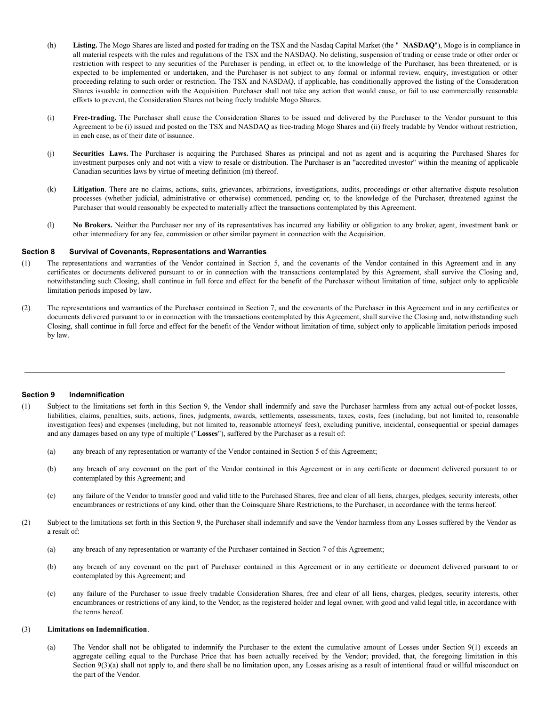- <span id="page-6-0"></span>(h) **Listing.** The Mogo Shares are listed and posted for trading on the TSX and the Nasdaq Capital Market (the " **NASDAQ**"), Mogo is in compliance in all material respects with the rules and regulations of the TSX and the NASDAQ. No delisting, suspension of trading or cease trade or other order or restriction with respect to any securities of the Purchaser is pending, in effect or, to the knowledge of the Purchaser, has been threatened, or is expected to be implemented or undertaken, and the Purchaser is not subject to any formal or informal review, enquiry, investigation or other proceeding relating to such order or restriction. The TSX and NASDAQ, if applicable, has conditionally approved the listing of the Consideration Shares issuable in connection with the Acquisition. Purchaser shall not take any action that would cause, or fail to use commercially reasonable efforts to prevent, the Consideration Shares not being freely tradable Mogo Shares.
- (i) **Free-trading.** The Purchaser shall cause the Consideration Shares to be issued and delivered by the Purchaser to the Vendor pursuant to this Agreement to be (i) issued and posted on the TSX and NASDAQ as free-trading Mogo Shares and (ii) freely tradable by Vendor without restriction, in each case, as of their date of issuance.
- (j) **Securities Laws.** The Purchaser is acquiring the Purchased Shares as principal and not as agent and is acquiring the Purchased Shares for investment purposes only and not with a view to resale or distribution. The Purchaser is an "accredited investor" within the meaning of applicable Canadian securities laws by virtue of meeting definition (m) thereof.
- (k) **Litigation**. There are no claims, actions, suits, grievances, arbitrations, investigations, audits, proceedings or other alternative dispute resolution processes (whether judicial, administrative or otherwise) commenced, pending or, to the knowledge of the Purchaser, threatened against the Purchaser that would reasonably be expected to materially affect the transactions contemplated by this Agreement.
- (l) **No Brokers.** Neither the Purchaser nor any of its representatives has incurred any liability or obligation to any broker, agent, investment bank or other intermediary for any fee, commission or other similar payment in connection with the Acquisition.

### **Section 8 Survival of Covenants, Representations and Warranties**

- (1) The representations and warranties of the Vendor contained in Section 5, and the covenants of the Vendor contained in this Agreement and in any certificates or documents delivered pursuant to or in connection with the transactions contemplated by this Agreement, shall survive the Closing and, notwithstanding such Closing, shall continue in full force and effect for the benefit of the Purchaser without limitation of time, subject only to applicable limitation periods imposed by law.
- (2) The representations and warranties of the Purchaser contained in Section 7, and the covenants of the Purchaser in this Agreement and in any certificates or documents delivered pursuant to or in connection with the transactions contemplated by this Agreement, shall survive the Closing and, notwithstanding such Closing, shall continue in full force and effect for the benefit of the Vendor without limitation of time, subject only to applicable limitation periods imposed by law.

### **Section 9 Indemnification**

- (1) Subject to the limitations set forth in this Section 9, the Vendor shall indemnify and save the Purchaser harmless from any actual out-of-pocket losses, liabilities, claims, penalties, suits, actions, fines, judgments, awards, settlements, assessments, taxes, costs, fees (including, but not limited to, reasonable investigation fees) and expenses (including, but not limited to, reasonable attorneys' fees), excluding punitive, incidental, consequential or special damages and any damages based on any type of multiple ("**Losses**"), suffered by the Purchaser as a result of:
	- (a) any breach of any representation or warranty of the Vendor contained in Section 5 of this Agreement;
	- (b) any breach of any covenant on the part of the Vendor contained in this Agreement or in any certificate or document delivered pursuant to or contemplated by this Agreement; and
	- (c) any failure of the Vendor to transfer good and valid title to the Purchased Shares, free and clear of all liens, charges, pledges, security interests, other encumbrances or restrictions of any kind, other than the Coinsquare Share Restrictions, to the Purchaser, in accordance with the terms hereof.
- (2) Subject to the limitations set forth in this Section 9, the Purchaser shall indemnify and save the Vendor harmless from any Losses suffered by the Vendor as a result of:
	- (a) any breach of any representation or warranty of the Purchaser contained in Section 7 of this Agreement;
	- (b) any breach of any covenant on the part of Purchaser contained in this Agreement or in any certificate or document delivered pursuant to or contemplated by this Agreement; and
	- (c) any failure of the Purchaser to issue freely tradable Consideration Shares, free and clear of all liens, charges, pledges, security interests, other encumbrances or restrictions of any kind, to the Vendor, as the registered holder and legal owner, with good and valid legal title, in accordance with the terms hereof.

### (3) **Limitations on Indemnification**.

(a) The Vendor shall not be obligated to indemnify the Purchaser to the extent the cumulative amount of Losses under Section 9(1) exceeds an aggregate ceiling equal to the Purchase Price that has been actually received by the Vendor; provided, that, the foregoing limitation in this Section 9(3)(a) shall not apply to, and there shall be no limitation upon, any Losses arising as a result of intentional fraud or willful misconduct on the part of the Vendor.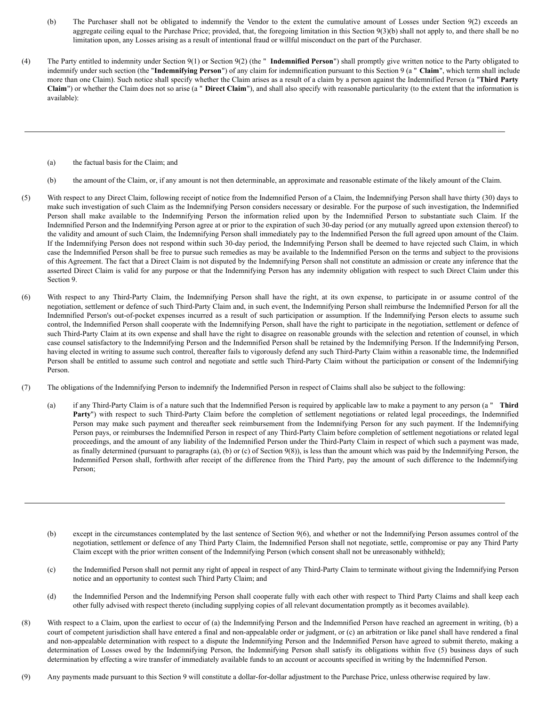- (b) The Purchaser shall not be obligated to indemnify the Vendor to the extent the cumulative amount of Losses under Section 9(2) exceeds an aggregate ceiling equal to the Purchase Price; provided, that, the foregoing limitation in this Section  $9(3)(b)$  shall not apply to, and there shall be no limitation upon, any Losses arising as a result of intentional fraud or willful misconduct on the part of the Purchaser.
- (4) The Party entitled to indemnity under Section 9(1) or Section 9(2) (the " **Indemnified Person**") shall promptly give written notice to the Party obligated to indemnify under such section (the "**Indemnifying Person**") of any claim for indemnification pursuant to this Section 9 (a " **Claim**", which term shall include more than one Claim). Such notice shall specify whether the Claim arises as a result of a claim by a person against the Indemnified Person (a "**Third Party Claim**") or whether the Claim does not so arise (a " **Direct Claim**"), and shall also specify with reasonable particularity (to the extent that the information is available):
	- (a) the factual basis for the Claim; and
	- (b) the amount of the Claim, or, if any amount is not then determinable, an approximate and reasonable estimate of the likely amount of the Claim.
- (5) With respect to any Direct Claim, following receipt of notice from the Indemnified Person of a Claim, the Indemnifying Person shall have thirty (30) days to make such investigation of such Claim as the Indemnifying Person considers necessary or desirable. For the purpose of such investigation, the Indemnified Person shall make available to the Indemnifying Person the information relied upon by the Indemnified Person to substantiate such Claim. If the Indemnified Person and the Indemnifying Person agree at or prior to the expiration of such 30-day period (or any mutually agreed upon extension thereof) to the validity and amount of such Claim, the Indemnifying Person shall immediately pay to the Indemnified Person the full agreed upon amount of the Claim. If the Indemnifying Person does not respond within such 30-day period, the Indemnifying Person shall be deemed to have rejected such Claim, in which case the Indemnified Person shall be free to pursue such remedies as may be available to the Indemnified Person on the terms and subject to the provisions of this Agreement. The fact that a Direct Claim is not disputed by the Indemnifying Person shall not constitute an admission or create any inference that the asserted Direct Claim is valid for any purpose or that the Indemnifying Person has any indemnity obligation with respect to such Direct Claim under this Section 9.
- (6) With respect to any Third-Party Claim, the Indemnifying Person shall have the right, at its own expense, to participate in or assume control of the negotiation, settlement or defence of such Third-Party Claim and, in such event, the Indemnifying Person shall reimburse the Indemnified Person for all the Indemnified Person's out-of-pocket expenses incurred as a result of such participation or assumption. If the Indemnifying Person elects to assume such control, the Indemnified Person shall cooperate with the Indemnifying Person, shall have the right to participate in the negotiation, settlement or defence of such Third-Party Claim at its own expense and shall have the right to disagree on reasonable grounds with the selection and retention of counsel, in which case counsel satisfactory to the Indemnifying Person and the Indemnified Person shall be retained by the Indemnifying Person. If the Indemnifying Person, having elected in writing to assume such control, thereafter fails to vigorously defend any such Third-Party Claim within a reasonable time, the Indemnified Person shall be entitled to assume such control and negotiate and settle such Third-Party Claim without the participation or consent of the Indemnifying Person.
- (7) The obligations of the Indemnifying Person to indemnify the Indemnified Person in respect of Claims shall also be subject to the following:
	- (a) if any Third-Party Claim is of a nature such that the Indemnified Person is required by applicable law to make a payment to any person (a " **Third** Party") with respect to such Third-Party Claim before the completion of settlement negotiations or related legal proceedings, the Indemnified Person may make such payment and thereafter seek reimbursement from the Indemnifying Person for any such payment. If the Indemnifying Person pays, or reimburses the Indemnified Person in respect of any Third-Party Claim before completion of settlement negotiations or related legal proceedings, and the amount of any liability of the Indemnified Person under the Third-Party Claim in respect of which such a payment was made, as finally determined (pursuant to paragraphs (a), (b) or (c) of Section 9(8)), is less than the amount which was paid by the Indemnifying Person, the Indemnified Person shall, forthwith after receipt of the difference from the Third Party, pay the amount of such difference to the Indemnifying Person;
	- (b) except in the circumstances contemplated by the last sentence of Section 9(6), and whether or not the Indemnifying Person assumes control of the negotiation, settlement or defence of any Third Party Claim, the Indemnified Person shall not negotiate, settle, compromise or pay any Third Party Claim except with the prior written consent of the Indemnifying Person (which consent shall not be unreasonably withheld);
	- (c) the Indemnified Person shall not permit any right of appeal in respect of any Third-Party Claim to terminate without giving the Indemnifying Person notice and an opportunity to contest such Third Party Claim; and
	- (d) the Indemnified Person and the Indemnifying Person shall cooperate fully with each other with respect to Third Party Claims and shall keep each other fully advised with respect thereto (including supplying copies of all relevant documentation promptly as it becomes available).
- (8) With respect to a Claim, upon the earliest to occur of (a) the Indemnifying Person and the Indemnified Person have reached an agreement in writing, (b) a court of competent jurisdiction shall have entered a final and non-appealable order or judgment, or (c) an arbitration or like panel shall have rendered a final and non-appealable determination with respect to a dispute the Indemnifying Person and the Indemnified Person have agreed to submit thereto, making a determination of Losses owed by the Indemnifying Person, the Indemnifying Person shall satisfy its obligations within five (5) business days of such determination by effecting a wire transfer of immediately available funds to an account or accounts specified in writing by the Indemnified Person.
- (9) Any payments made pursuant to this Section 9 will constitute a dollar-for-dollar adjustment to the Purchase Price, unless otherwise required by law.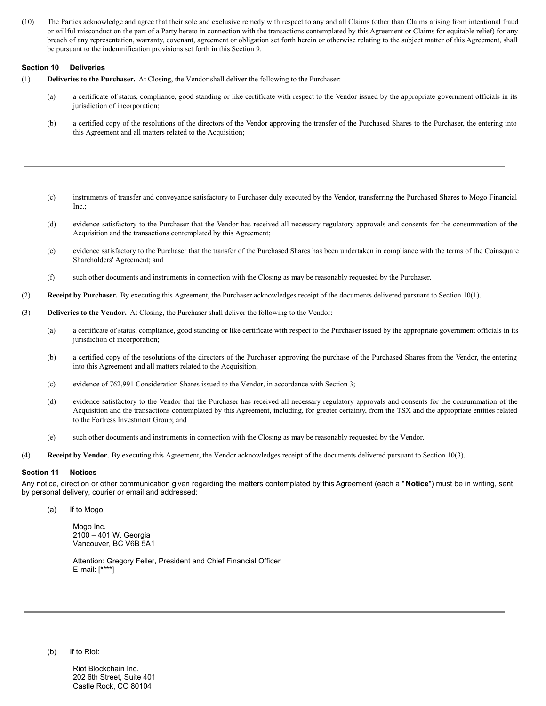(10) The Parties acknowledge and agree that their sole and exclusive remedy with respect to any and all Claims (other than Claims arising from intentional fraud or willful misconduct on the part of a Party hereto in connection with the transactions contemplated by this Agreement or Claims for equitable relief) for any breach of any representation, warranty, covenant, agreement or obligation set forth herein or otherwise relating to the subject matter of this Agreement, shall be pursuant to the indemnification provisions set forth in this Section 9.

# **Section 10 Deliveries**

- (1) **Deliveries to the Purchaser.** At Closing, the Vendor shall deliver the following to the Purchaser:
	- (a) a certificate of status, compliance, good standing or like certificate with respect to the Vendor issued by the appropriate government officials in its jurisdiction of incorporation;
	- (b) a certified copy of the resolutions of the directors of the Vendor approving the transfer of the Purchased Shares to the Purchaser, the entering into this Agreement and all matters related to the Acquisition;
	- (c) instruments of transfer and conveyance satisfactory to Purchaser duly executed by the Vendor, transferring the Purchased Shares to Mogo Financial Inc.;
	- (d) evidence satisfactory to the Purchaser that the Vendor has received all necessary regulatory approvals and consents for the consummation of the Acquisition and the transactions contemplated by this Agreement;
	- (e) evidence satisfactory to the Purchaser that the transfer of the Purchased Shares has been undertaken in compliance with the terms of the Coinsquare Shareholders' Agreement; and
	- (f) such other documents and instruments in connection with the Closing as may be reasonably requested by the Purchaser.
- (2) **Receipt by Purchaser.** By executing this Agreement, the Purchaser acknowledges receipt of the documents delivered pursuant to Section 10(1).
- (3) **Deliveries to the Vendor.** At Closing, the Purchaser shall deliver the following to the Vendor:
	- (a) a certificate of status, compliance, good standing or like certificate with respect to the Purchaser issued by the appropriate government officials in its jurisdiction of incorporation;
	- (b) a certified copy of the resolutions of the directors of the Purchaser approving the purchase of the Purchased Shares from the Vendor, the entering into this Agreement and all matters related to the Acquisition;
	- (c) evidence of 762,991 Consideration Shares issued to the Vendor, in accordance with Section 3;
	- (d) evidence satisfactory to the Vendor that the Purchaser has received all necessary regulatory approvals and consents for the consummation of the Acquisition and the transactions contemplated by this Agreement, including, for greater certainty, from the TSX and the appropriate entities related to the Fortress Investment Group; and
	- (e) such other documents and instruments in connection with the Closing as may be reasonably requested by the Vendor.
- (4) **Receipt by Vendor**. By executing this Agreement, the Vendor acknowledges receipt of the documents delivered pursuant to Section 10(3).

# **Section 11 Notices**

Any notice, direction or other communication given regarding the matters contemplated by this Agreement (each a " **Notice**") must be in writing, sent by personal delivery, courier or email and addressed:

(a) If to Mogo:

Mogo Inc. 2100 – 401 W. Georgia Vancouver, BC V6B 5A1

Attention: Gregory Feller, President and Chief Financial Officer E-mail: [\*\*\*\*]

(b) If to Riot:

Riot Blockchain Inc. 202 6th Street, Suite 401 Castle Rock, CO 80104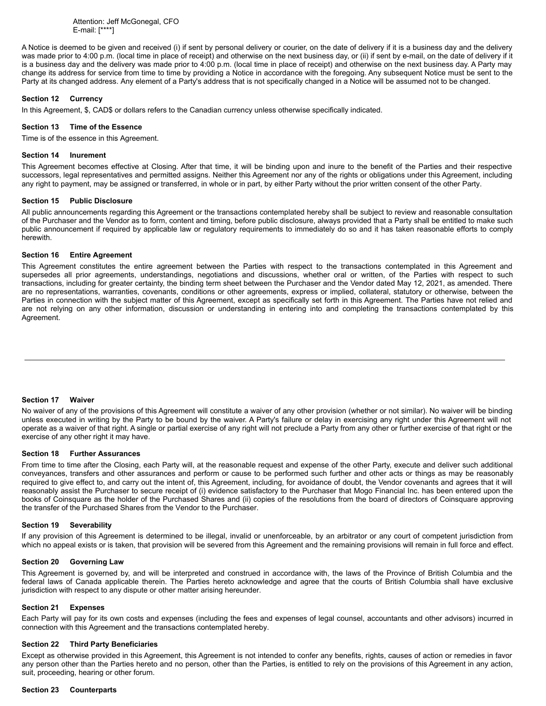Attention: Jeff McGonegal, CFO E-mail: [\*\*\*\*]

A Notice is deemed to be given and received (i) if sent by personal delivery or courier, on the date of delivery if it is a business day and the delivery was made prior to 4:00 p.m. (local time in place of receipt) and otherwise on the next business day, or (ii) if sent by e-mail, on the date of delivery if it is a business day and the delivery was made prior to 4:00 p.m. (local time in place of receipt) and otherwise on the next business day. A Party may change its address for service from time to time by providing a Notice in accordance with the foregoing. Any subsequent Notice must be sent to the Party at its changed address. Any element of a Party's address that is not specifically changed in a Notice will be assumed not to be changed.

# **Section 12 Currency**

In this Agreement, \$, CAD\$ or dollars refers to the Canadian currency unless otherwise specifically indicated.

# **Section 13 Time of the Essence**

Time is of the essence in this Agreement.

# **Section 14 Inurement**

This Agreement becomes effective at Closing. After that time, it will be binding upon and inure to the benefit of the Parties and their respective successors, legal representatives and permitted assigns. Neither this Agreement nor any of the rights or obligations under this Agreement, including any right to payment, may be assigned or transferred, in whole or in part, by either Party without the prior written consent of the other Party.

# **Section 15 Public Disclosure**

All public announcements regarding this Agreement or the transactions contemplated hereby shall be subject to review and reasonable consultation of the Purchaser and the Vendor as to form, content and timing, before public disclosure, always provided that a Party shall be entitled to make such public announcement if required by applicable law or regulatory requirements to immediately do so and it has taken reasonable efforts to comply herewith.

# **Section 16 Entire Agreement**

This Agreement constitutes the entire agreement between the Parties with respect to the transactions contemplated in this Agreement and supersedes all prior agreements, understandings, negotiations and discussions, whether oral or written, of the Parties with respect to such transactions, including for greater certainty, the binding term sheet between the Purchaser and the Vendor dated May 12, 2021, as amended. There are no representations, warranties, covenants, conditions or other agreements, express or implied, collateral, statutory or otherwise, between the Parties in connection with the subject matter of this Agreement, except as specifically set forth in this Agreement. The Parties have not relied and are not relying on any other information, discussion or understanding in entering into and completing the transactions contemplated by this Agreement.

# **Section 17 Waiver**

No waiver of any of the provisions of this Agreement will constitute a waiver of any other provision (whether or not similar). No waiver will be binding unless executed in writing by the Party to be bound by the waiver. A Party's failure or delay in exercising any right under this Agreement will not operate as a waiver of that right. A single or partial exercise of any right will not preclude a Party from any other or further exercise of that right or the exercise of any other right it may have.

# **Section 18 Further Assurances**

From time to time after the Closing, each Party will, at the reasonable request and expense of the other Party, execute and deliver such additional conveyances, transfers and other assurances and perform or cause to be performed such further and other acts or things as may be reasonably required to give effect to, and carry out the intent of, this Agreement, including, for avoidance of doubt, the Vendor covenants and agrees that it will reasonably assist the Purchaser to secure receipt of (i) evidence satisfactory to the Purchaser that Mogo Financial Inc. has been entered upon the books of Coinsquare as the holder of the Purchased Shares and (ii) copies of the resolutions from the board of directors of Coinsquare approving the transfer of the Purchased Shares from the Vendor to the Purchaser.

# **Section 19 Severability**

If any provision of this Agreement is determined to be illegal, invalid or unenforceable, by an arbitrator or any court of competent jurisdiction from which no appeal exists or is taken, that provision will be severed from this Agreement and the remaining provisions will remain in full force and effect.

### **Section 20 Governing Law**

This Agreement is governed by, and will be interpreted and construed in accordance with, the laws of the Province of British Columbia and the federal laws of Canada applicable therein. The Parties hereto acknowledge and agree that the courts of British Columbia shall have exclusive jurisdiction with respect to any dispute or other matter arising hereunder.

# **Section 21 Expenses**

Each Party will pay for its own costs and expenses (including the fees and expenses of legal counsel, accountants and other advisors) incurred in connection with this Agreement and the transactions contemplated hereby.

### **Section 22 Third Party Beneficiaries**

Except as otherwise provided in this Agreement, this Agreement is not intended to confer any benefits, rights, causes of action or remedies in favor any person other than the Parties hereto and no person, other than the Parties, is entitled to rely on the provisions of this Agreement in any action, suit, proceeding, hearing or other forum.

# **Section 23 Counterparts**